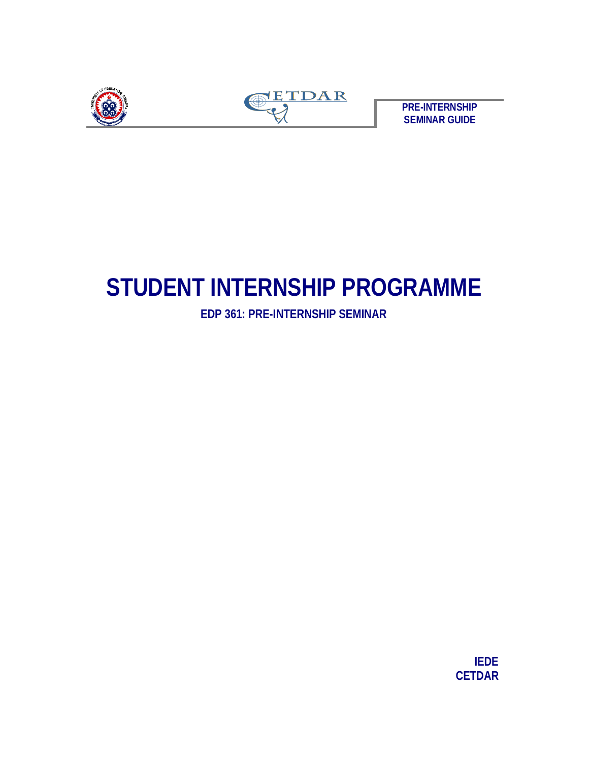



**PRE-INTERNSHIP SEMINAR GUIDE**

# **STUDENT INTERNSHIP PROGRAMME**

**EDP 361: PRE-INTERNSHIP SEMINAR**

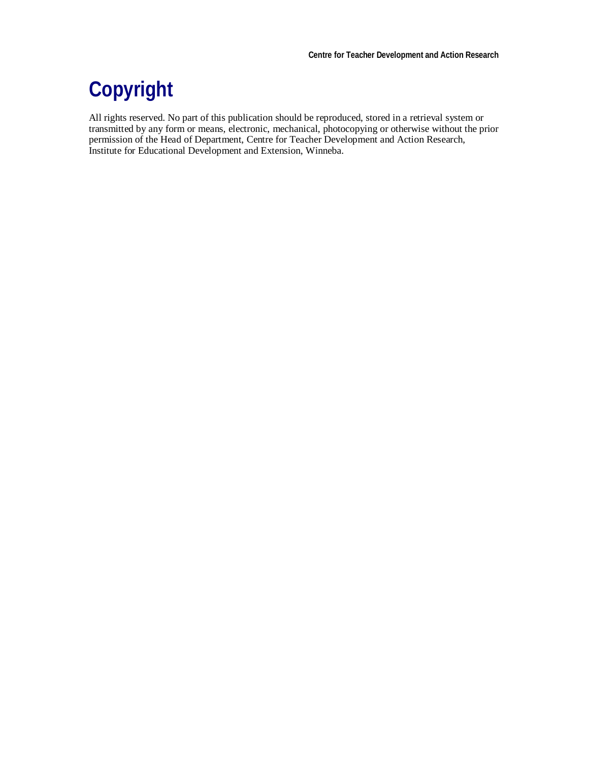# **Copyright**

All rights reserved. No part of this publication should be reproduced, stored in a retrieval system or transmitted by any form or means, electronic, mechanical, photocopying or otherwise without the prior permission of the Head of Department, Centre for Teacher Development and Action Research, Institute for Educational Development and Extension, Winneba.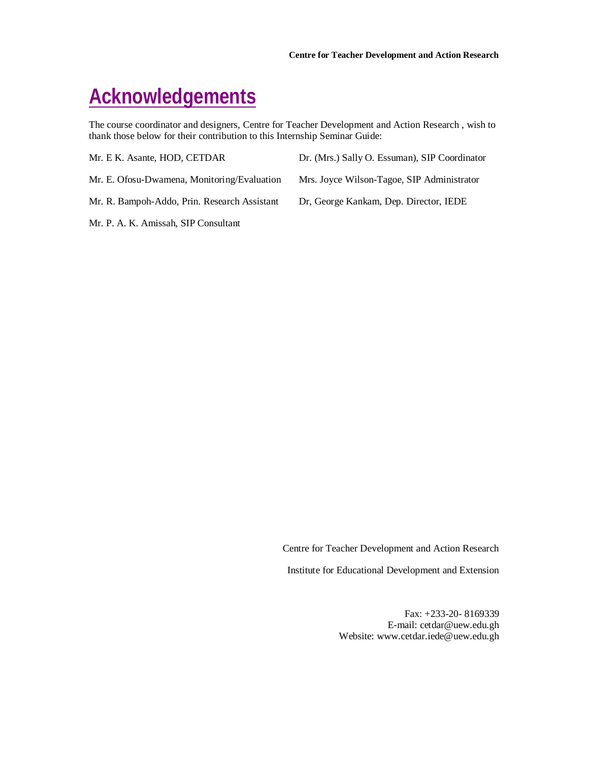# **Acknowledgements**

The course coordinator and designers, Centre for Teacher Development and Action Research , wish to thank those below for their contribution to this Internship Seminar Guide:

| Mr. E K. Asante, HOD, CETDAR                 | Dr. (Mrs.) Sally O. Essuman), SIP Coordinator |
|----------------------------------------------|-----------------------------------------------|
| Mr. E. Ofosu-Dwamena, Monitoring/Evaluation  | Mrs. Joyce Wilson-Tagoe, SIP Administrator    |
| Mr. R. Bampoh-Addo, Prin. Research Assistant | Dr. George Kankam, Dep. Director, IEDE        |

Mr. P. A. K. Amissah, SIP Consultant

Centre for Teacher Development and Action Research

Institute for Educational Development and Extension

Fax: +233-20- 8169339 E-mail: cetdar@uew.edu.gh Website: www.cetdar.iede@uew.edu.gh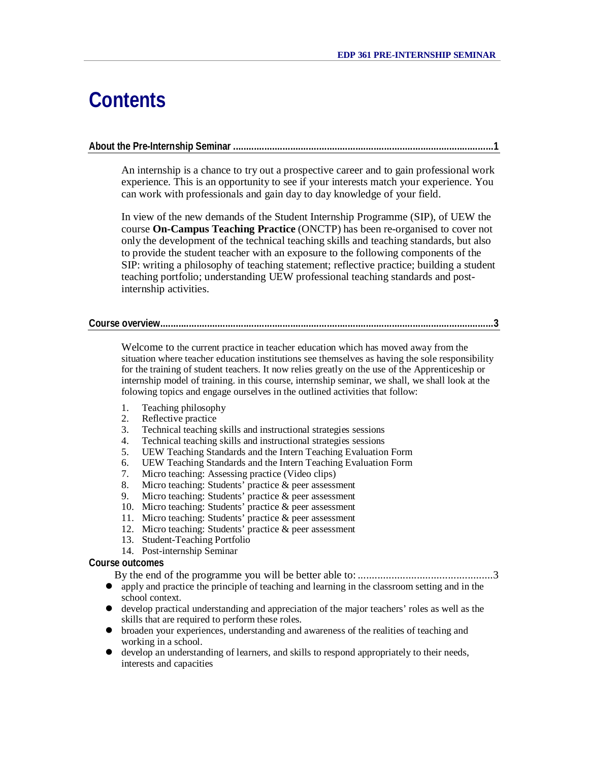# **Contents**

#### **About the Pre-Internship Seminar ....................................................................................................1**

An internship is a chance to try out a prospective career and to gain professional work experience. This is an opportunity to see if your interests match your experience. You can work with professionals and gain day to day knowledge of your field.

In view of the new demands of the Student Internship Programme (SIP), of UEW the course **On-Campus Teaching Practice** (ONCTP) has been re-organised to cover not only the development of the technical teaching skills and teaching standards, but also to provide the student teacher with an exposure to the following components of the SIP: writing a philosophy of teaching statement; reflective practice; building a student teaching portfolio; understanding UEW professional teaching standards and postinternship activities.

#### **Course overview................................................................................................................................3**

Welcome to the current practice in teacher education which has moved away from the situation where teacher education institutions see themselves as having the sole responsibility for the training of student teachers. It now relies greatly on the use of the Apprenticeship or internship model of training. in this course, internship seminar, we shall, we shall look at the folowing topics and engage ourselves in the outlined activities that follow:

- 1. Teaching philosophy
- 2. Reflective practice
- 3. Technical teaching skills and instructional strategies sessions
- 4. Technical teaching skills and instructional strategies sessions
- 5. UEW Teaching Standards and the Intern Teaching Evaluation Form
- 6. UEW Teaching Standards and the Intern Teaching Evaluation Form
- 7. Micro teaching: Assessing practice (Video clips)
- 8. Micro teaching: Students' practice & peer assessment
- 9. Micro teaching: Students' practice & peer assessment
- 10. Micro teaching: Students' practice & peer assessment
- 11. Micro teaching: Students' practice & peer assessment
- 12. Micro teaching: Students' practice & peer assessment
- 13. Student-Teaching Portfolio
- 14. Post-internship Seminar

#### **Course outcomes**

By the end of the programme you will be better able to: ................................................3

- apply and practice the principle of teaching and learning in the classroom setting and in the school context.
- develop practical understanding and appreciation of the major teachers' roles as well as the skills that are required to perform these roles.
- broaden your experiences, understanding and awareness of the realities of teaching and working in a school.
- develop an understanding of learners, and skills to respond appropriately to their needs, interests and capacities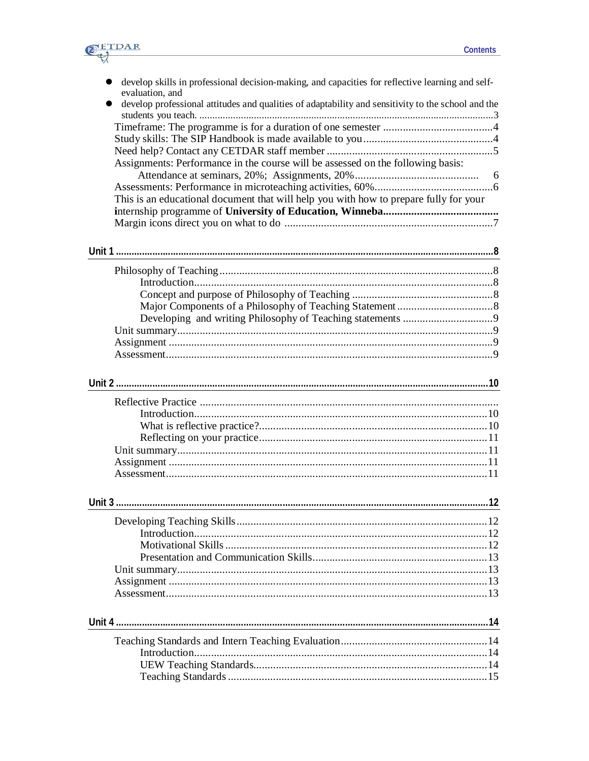

| develop skills in professional decision-making, and capacities for reflective learning and self-   |  |
|----------------------------------------------------------------------------------------------------|--|
| evaluation, and                                                                                    |  |
| develop professional attitudes and qualities of adaptability and sensitivity to the school and the |  |
|                                                                                                    |  |
|                                                                                                    |  |
|                                                                                                    |  |
|                                                                                                    |  |
| Assignments: Performance in the course will be assessed on the following basis:                    |  |
|                                                                                                    |  |
| This is an educational document that will help you with how to prepare fully for your              |  |
|                                                                                                    |  |
|                                                                                                    |  |
|                                                                                                    |  |
|                                                                                                    |  |
|                                                                                                    |  |
|                                                                                                    |  |
|                                                                                                    |  |
|                                                                                                    |  |
|                                                                                                    |  |
|                                                                                                    |  |
|                                                                                                    |  |
|                                                                                                    |  |
|                                                                                                    |  |
|                                                                                                    |  |
|                                                                                                    |  |
|                                                                                                    |  |
|                                                                                                    |  |
|                                                                                                    |  |
|                                                                                                    |  |
|                                                                                                    |  |
|                                                                                                    |  |
|                                                                                                    |  |
|                                                                                                    |  |
|                                                                                                    |  |
|                                                                                                    |  |
|                                                                                                    |  |
|                                                                                                    |  |
|                                                                                                    |  |
|                                                                                                    |  |
|                                                                                                    |  |
|                                                                                                    |  |
|                                                                                                    |  |
|                                                                                                    |  |
|                                                                                                    |  |
|                                                                                                    |  |
|                                                                                                    |  |
|                                                                                                    |  |
|                                                                                                    |  |
|                                                                                                    |  |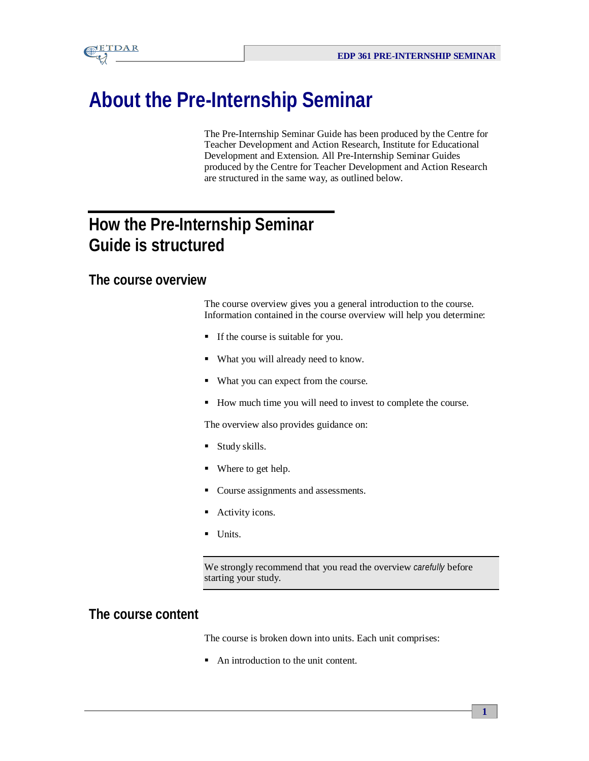

# **About the Pre-Internship Seminar**

The Pre-Internship Seminar Guide has been produced by the Centre for Teacher Development and Action Research, Institute for Educational Development and Extension. All Pre-Internship Seminar Guides produced by the Centre for Teacher Development and Action Research are structured in the same way, as outlined below.

## **How the Pre-Internship Seminar Guide is structured**

### **The course overview**

The course overview gives you a general introduction to the course. Information contained in the course overview will help you determine:

- If the course is suitable for you.
- What you will already need to know.
- What you can expect from the course.
- How much time you will need to invest to complete the course.

The overview also provides guidance on:

- **Study skills.**
- Where to get help.
- Course assignments and assessments.
- Activity icons.
- **Units.**

We strongly recommend that you read the overview *carefully* before starting your study.

### **The course content**

The course is broken down into units. Each unit comprises:

■ An introduction to the unit content.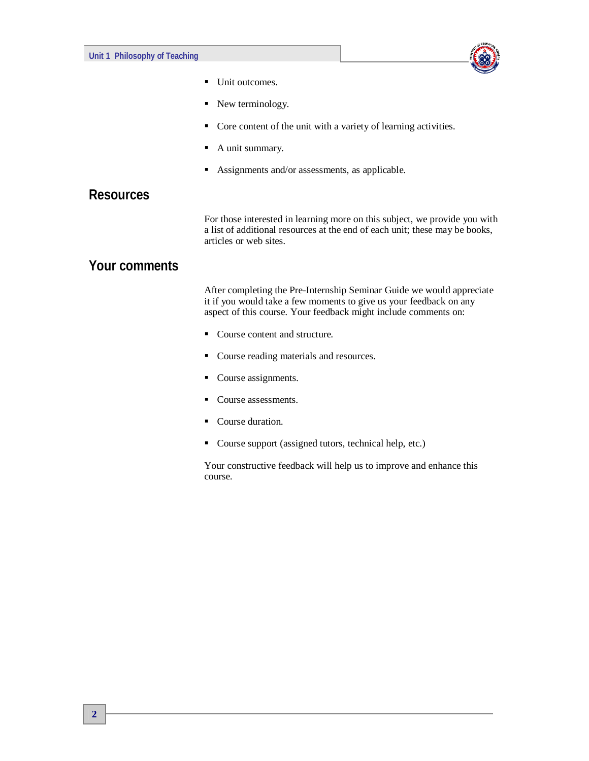

- Unit outcomes.
- New terminology.
- Core content of the unit with a variety of learning activities.
- A unit summary.
- Assignments and/or assessments, as applicable.

#### **Resources**

For those interested in learning more on this subject, we provide you with a list of additional resources at the end of each unit; these may be books, articles or web sites.

### **Your comments**

After completing the Pre-Internship Seminar Guide we would appreciate it if you would take a few moments to give us your feedback on any aspect of this course. Your feedback might include comments on:

- Course content and structure.
- Course reading materials and resources.
- Course assignments.
- Course assessments.
- Course duration.
- Course support (assigned tutors, technical help, etc.)

Your constructive feedback will help us to improve and enhance this course.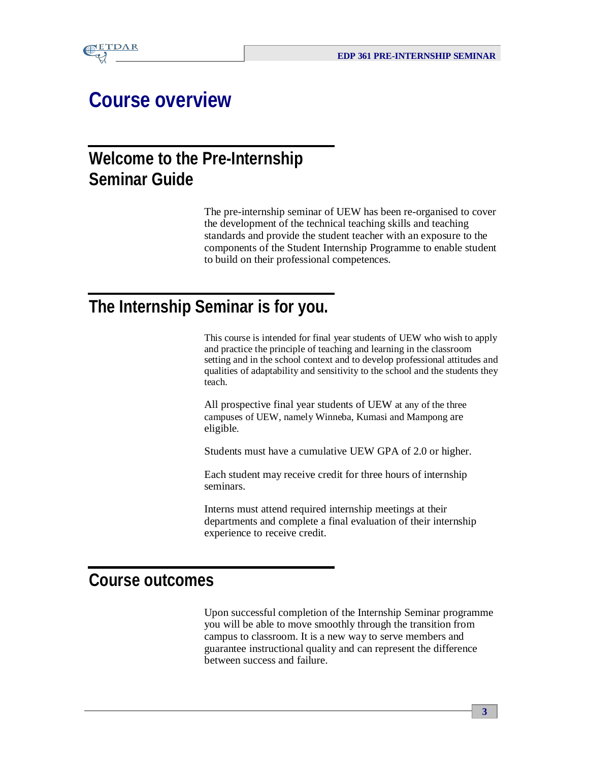

# **Course overview**

# **Welcome to the Pre-Internship Seminar Guide**

The pre-internship seminar of UEW has been re-organised to cover the development of the technical teaching skills and teaching standards and provide the student teacher with an exposure to the components of the Student Internship Programme to enable student to build on their professional competences.

## **The Internship Seminar is for you.**

This course is intended for final year students of UEW who wish to apply and practice the principle of teaching and learning in the classroom setting and in the school context and to develop professional attitudes and qualities of adaptability and sensitivity to the school and the students they teach.

All prospective final year students of UEW at any of the three campuses of UEW, namely Winneba, Kumasi and Mampong are eligible.

Students must have a cumulative UEW GPA of 2.0 or higher.

Each student may receive credit for three hours of internship seminars.

Interns must attend required internship meetings at their departments and complete a final evaluation of their internship experience to receive credit.

## **Course outcomes**

Upon successful completion of the Internship Seminar programme you will be able to move smoothly through the transition from campus to classroom. It is a new way to serve members and guarantee instructional quality and can represent the difference between success and failure.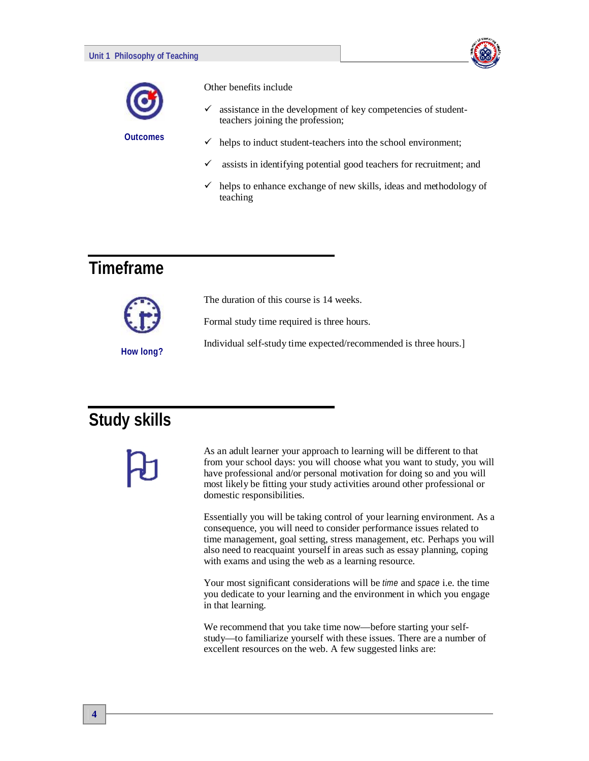#### **Unit 1 Philosophy of Teaching**



**Outcomes**

Other benefits include



- assistance in the development of key competencies of studentteachers joining the profession;
- $\checkmark$  helps to induct student-teachers into the school environment;
- assists in identifying potential good teachers for recruitment; and
- $\checkmark$  helps to enhance exchange of new skills, ideas and methodology of teaching

# **Timeframe**



**How long?**

The duration of this course is 14 weeks.

Formal study time required is three hours.

Individual self-study time expected/recommended is three hours.]

# **Study skills**



As an adult learner your approach to learning will be different to that from your school days: you will choose what you want to study, you will have professional and/or personal motivation for doing so and you will most likely be fitting your study activities around other professional or domestic responsibilities.

Essentially you will be taking control of your learning environment. As a consequence, you will need to consider performance issues related to time management, goal setting, stress management, etc. Perhaps you will also need to reacquaint yourself in areas such as essay planning, coping with exams and using the web as a learning resource.

Your most significant considerations will be *time* and *space* i.e. the time you dedicate to your learning and the environment in which you engage in that learning.

We recommend that you take time now—before starting your selfstudy—to familiarize yourself with these issues. There are a number of excellent resources on the web. A few suggested links are: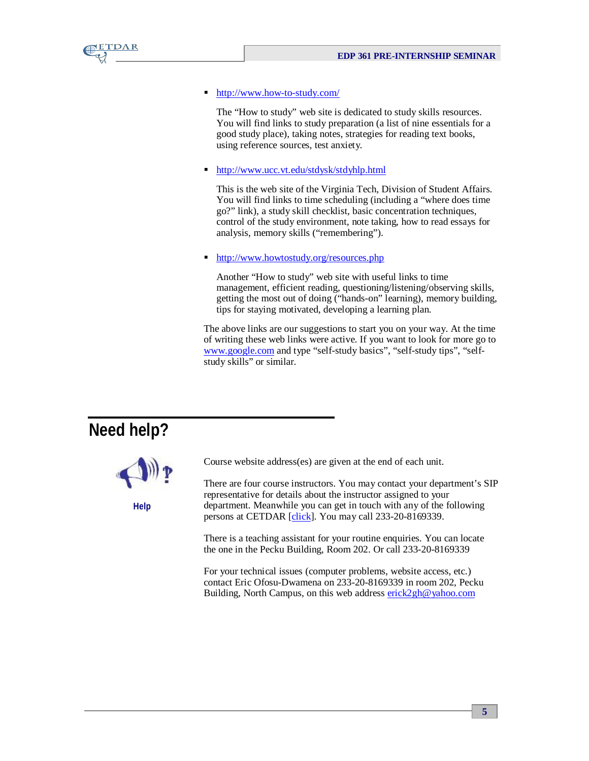

#### ■ http://www.how-to-study.com/

The "How to study" web site is dedicated to study skills resources. You will find links to study preparation (a list of nine essentials for a good study place), taking notes, strategies for reading text books, using reference sources, test anxiety.

http://www.ucc.vt.edu/stdysk/stdyhlp.html

This is the web site of the Virginia Tech, Division of Student Affairs. You will find links to time scheduling (including a "where does time go?" link), a study skill checklist, basic concentration techniques, control of the study environment, note taking, how to read essays for analysis, memory skills ("remembering").

http://www.howtostudy.org/resources.php

Another "How to study" web site with useful links to time management, efficient reading, questioning/listening/observing skills, getting the most out of doing ("hands-on" learning), memory building, tips for staying motivated, developing a learning plan.

The above links are our suggestions to start you on your way. At the time of writing these web links were active. If you want to look for more go to www.google.com and type "self-study basics", "self-study tips", "selfstudy skills" or similar.

# **Need help?**



**Help**

Course website address(es) are given at the end of each unit.

There are four course instructors. You may contact your department's SIP representative for details about the instructor assigned to your department. Meanwhile you can get in touch with any of the following persons at CETDAR [click]. You may call 233-20-8169339.

There is a teaching assistant for your routine enquiries. You can locate the one in the Pecku Building, Room 202. Or call 233-20-8169339

For your technical issues (computer problems, website access, etc.) contact Eric Ofosu-Dwamena on 233-20-8169339 in room 202, Pecku Building, North Campus, on this web address erick2gh@yahoo.com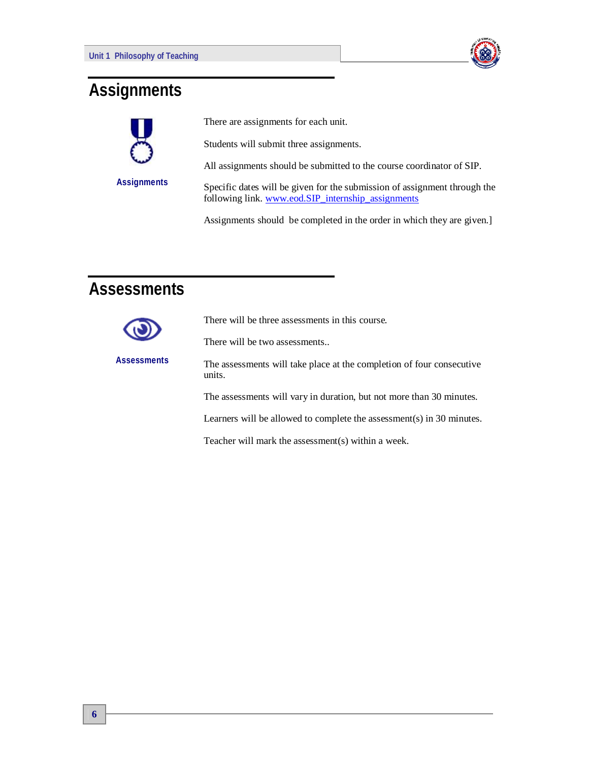

# **Assignments**



There are assignments for each unit.

Students will submit three assignments.

All assignments should be submitted to the course coordinator of SIP.

Specific dates will be given for the submission of assignment through the following link. www.eod.SIP\_internship\_assignments

Assignments should be completed in the order in which they are given.]

# **Assessments**

|                    | There will be three assessments in this course.                                 |
|--------------------|---------------------------------------------------------------------------------|
|                    | There will be two assessments                                                   |
| <b>Assessments</b> | The assessments will take place at the completion of four consecutive<br>units. |
|                    | The assessments will vary in duration, but not more than 30 minutes.            |
|                    | Learners will be allowed to complete the assessment(s) in 30 minutes.           |
|                    | Teacher will mark the assessment(s) within a week.                              |
|                    |                                                                                 |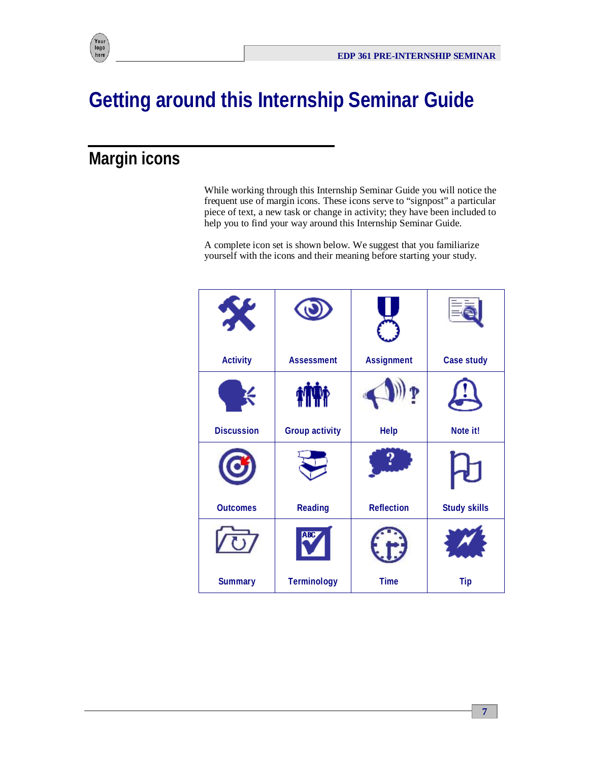

# **Getting around this Internship Seminar Guide**

# **Margin icons**

While working through this Internship Seminar Guide you will notice the frequent use of margin icons. These icons serve to "signpost" a particular piece of text, a new task or change in activity; they have been included to help you to find your way around this Internship Seminar Guide.

A complete icon set is shown below. We suggest that you familiarize yourself with the icons and their meaning before starting your study.

| $\boldsymbol{\chi}$ |                       |                   |                     |
|---------------------|-----------------------|-------------------|---------------------|
| <b>Activity</b>     | <b>Assessment</b>     | <b>Assignment</b> | <b>Case study</b>   |
|                     |                       |                   |                     |
| <b>Discussion</b>   | <b>Group activity</b> | <b>Help</b>       | Note it!            |
|                     |                       |                   |                     |
| <b>Outcomes</b>     | <b>Reading</b>        | <b>Reflection</b> | <b>Study skills</b> |
|                     | ABC                   |                   |                     |
| <b>Summary</b>      | <b>Terminology</b>    | <b>Time</b>       | <b>Tip</b>          |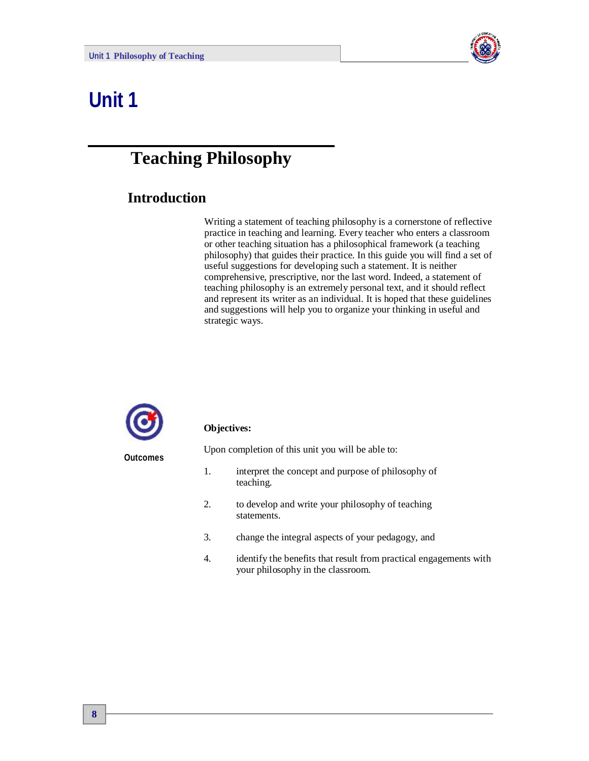

# **Unit 1**

# **Teaching Philosophy**

## **Introduction**

Writing a statement of teaching philosophy is a cornerstone of reflective practice in teaching and learning. Every teacher who enters a classroom or other teaching situation has a philosophical framework (a teaching philosophy) that guides their practice. In this guide you will find a set of useful suggestions for developing such a statement. It is neither comprehensive, prescriptive, nor the last word. Indeed, a statement of teaching philosophy is an extremely personal text, and it should reflect and represent its writer as an individual. It is hoped that these guidelines and suggestions will help you to organize your thinking in useful and strategic ways.



#### **Objectives:**

Upon completion of this unit you will be able to:

- 1. interpret the concept and purpose of philosophy of teaching.
- 2. to develop and write your philosophy of teaching statements.
- 3. change the integral aspects of your pedagogy, and
- 4. identify the benefits that result from practical engagements with your philosophy in the classroom.

**Outcomes**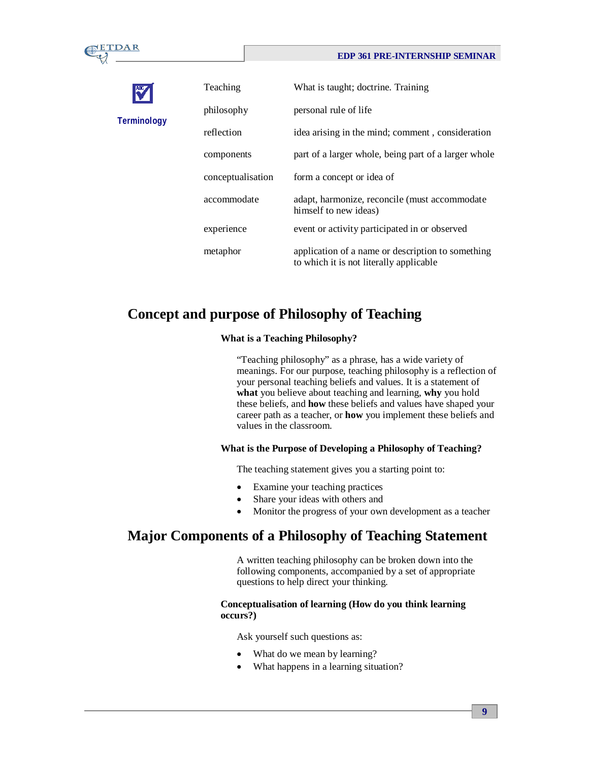#### **EDP 361 PRE-INTERNSHIP SEMINAR**

| ı. |
|----|
|    |

**Terminology**

| Teaching          | What is taught; doctrine. Training                                                           |
|-------------------|----------------------------------------------------------------------------------------------|
| philosophy        | personal rule of life                                                                        |
| reflection        | idea arising in the mind; comment, consideration                                             |
| components        | part of a larger whole, being part of a larger whole                                         |
| conceptualisation | form a concept or idea of                                                                    |
| accommodate       | adapt, harmonize, reconcile (must accommodate<br>himself to new ideas)                       |
| experience        | event or activity participated in or observed                                                |
| metaphor          | application of a name or description to something<br>to which it is not literally applicable |

### **Concept and purpose of Philosophy of Teaching**

#### **What is a Teaching Philosophy?**

"Teaching philosophy" as a phrase, has a wide variety of meanings. For our purpose, teaching philosophy is a reflection of your personal teaching beliefs and values. It is a statement of **what** you believe about teaching and learning, **why** you hold these beliefs, and **how** these beliefs and values have shaped your career path as a teacher, or **how** you implement these beliefs and values in the classroom.

#### **What is the Purpose of Developing a Philosophy of Teaching?**

The teaching statement gives you a starting point to:

- Examine your teaching practices
- Share your ideas with others and
- Monitor the progress of your own development as a teacher

### **Major Components of a Philosophy of Teaching Statement**

A written teaching philosophy can be broken down into the following components, accompanied by a set of appropriate questions to help direct your thinking.

#### **Conceptualisation of learning (How do you think learning occurs?)**

Ask yourself such questions as:

- What do we mean by learning?
- What happens in a learning situation?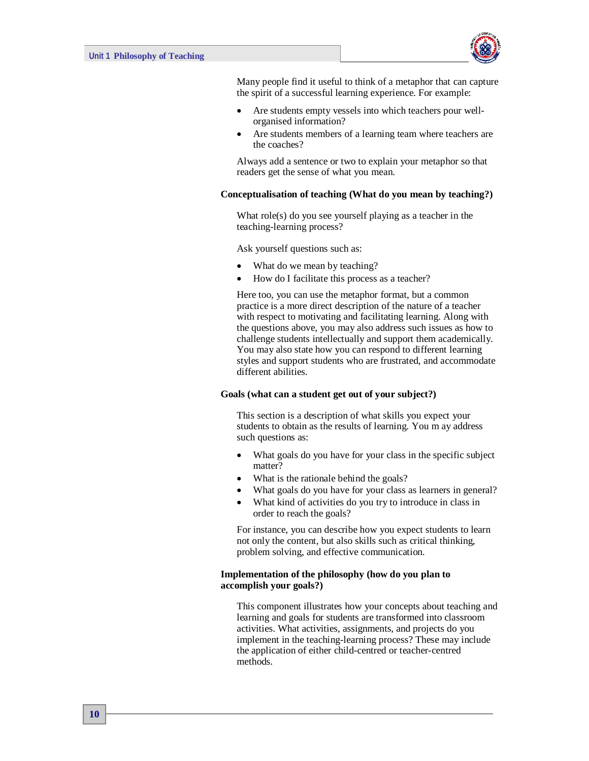

Many people find it useful to think of a metaphor that can capture the spirit of a successful learning experience. For example:

- Are students empty vessels into which teachers pour wellorganised information?
- Are students members of a learning team where teachers are the coaches?

Always add a sentence or two to explain your metaphor so that readers get the sense of what you mean.

#### **Conceptualisation of teaching (What do you mean by teaching?)**

What role(s) do you see yourself playing as a teacher in the teaching-learning process?

Ask yourself questions such as:

- What do we mean by teaching?
- How do I facilitate this process as a teacher?

Here too, you can use the metaphor format, but a common practice is a more direct description of the nature of a teacher with respect to motivating and facilitating learning. Along with the questions above, you may also address such issues as how to challenge students intellectually and support them academically. You may also state how you can respond to different learning styles and support students who are frustrated, and accommodate different abilities.

#### **Goals (what can a student get out of your subject?)**

This section is a description of what skills you expect your students to obtain as the results of learning. You m ay address such questions as:

- What goals do you have for your class in the specific subject matter?
- What is the rationale behind the goals?
- What goals do you have for your class as learners in general?
- What kind of activities do you try to introduce in class in order to reach the goals?

For instance, you can describe how you expect students to learn not only the content, but also skills such as critical thinking, problem solving, and effective communication.

#### **Implementation of the philosophy (how do you plan to accomplish your goals?)**

This component illustrates how your concepts about teaching and learning and goals for students are transformed into classroom activities. What activities, assignments, and projects do you implement in the teaching-learning process? These may include the application of either child-centred or teacher-centred methods.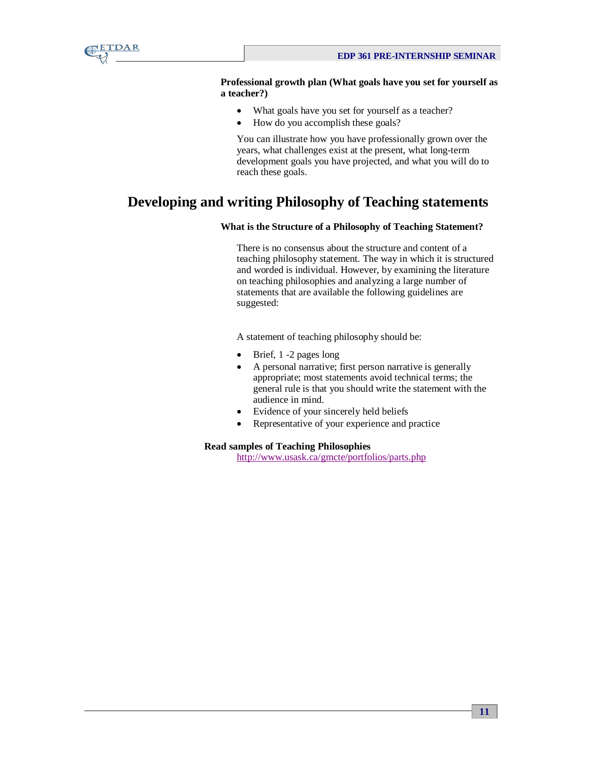

#### **Professional growth plan (What goals have you set for yourself as a teacher?)**

- What goals have you set for yourself as a teacher?
- How do you accomplish these goals?

You can illustrate how you have professionally grown over the years, what challenges exist at the present, what long-term development goals you have projected, and what you will do to reach these goals.

### **Developing and writing Philosophy of Teaching statements**

#### **What is the Structure of a Philosophy of Teaching Statement?**

There is no consensus about the structure and content of a teaching philosophy statement. The way in which it is structured and worded is individual. However, by examining the literature on teaching philosophies and analyzing a large number of statements that are available the following guidelines are suggested:

A statement of teaching philosophy should be:

- Brief, 1 -2 pages long
- A personal narrative; first person narrative is generally appropriate; most statements avoid technical terms; the general rule is that you should write the statement with the audience in mind.
- Evidence of your sincerely held beliefs
- Representative of your experience and practice

#### **Read samples of Teaching Philosophies**

http://www.usask.ca/gmcte/portfolios/parts.php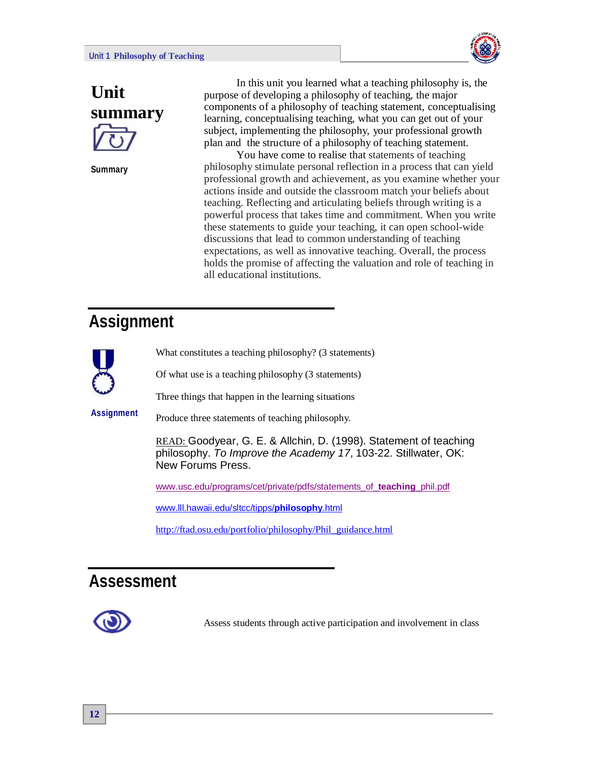#### **Unit 1 Philosophy of Teaching**





**Summary**

In this unit you learned what a teaching philosophy is, the purpose of developing a philosophy of teaching, the major components of a philosophy of teaching statement, conceptualising learning, conceptualising teaching, what you can get out of your subject, implementing the philosophy, your professional growth plan and the structure of a philosophy of teaching statement.

You have come to realise that statements of teaching philosophy stimulate personal reflection in a process that can yield professional growth and achievement, as you examine whether your actions inside and outside the classroom match your beliefs about teaching. Reflecting and articulating beliefs through writing is a powerful process that takes time and commitment. When you write these statements to guide your teaching, it can open school-wide discussions that lead to common understanding of teaching expectations, as well as innovative teaching. Overall, the process holds the promise of affecting the valuation and role of teaching in all educational institutions.

## **Assignment**

What constitutes a teaching philosophy? (3 statements)

Of what use is a teaching philosophy (3 statements)

Three things that happen in the learning situations

**Assignment**

Produce three statements of teaching philosophy.

READ: Goodyear, G. E. & Allchin, D. (1998). Statement of teaching philosophy. *To Improve the Academy 17*, 103-22. Stillwater, OK: New Forums Press.

www.usc.edu/programs/cet/private/pdfs/statements\_of\_**teaching**\_phil.pdf

www.lll.hawaii.edu/sltcc/tipps/**philosophy**.html

http://ftad.osu.edu/portfolio/philosophy/Phil\_guidance.html

## **Assessment**



Assess students through active participation and involvement in class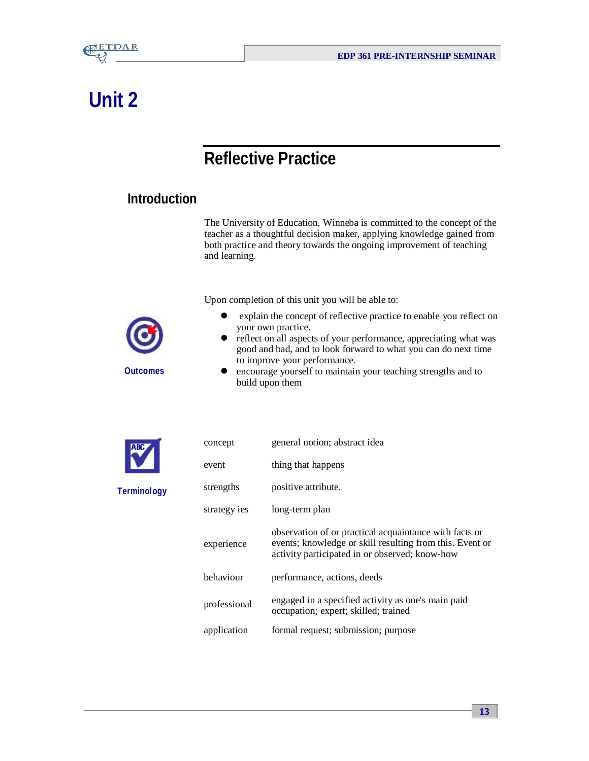

# **Unit 2**

# **Reflective Practice**

### **Introduction**

The University of Education, Winneba is committed to the concept of the teacher as a thoughtful decision maker, applying knowledge gained from both practice and theory towards the ongoing improvement of teaching and learning.

Upon completion of this unit you will be able to:



**Outcomes**

your own practice. reflect on all aspects of your performance, appreciating what was good and bad, and to look forward to what you can do next time

explain the concept of reflective practice to enable you reflect on

to improve your performance. encourage yourself to maintain your teaching strengths and to build upon them



**Terminology**

| concept      | general notion; abstract idea                                                                                                                                        |
|--------------|----------------------------------------------------------------------------------------------------------------------------------------------------------------------|
| event        | thing that happens                                                                                                                                                   |
| strengths    | positive attribute.                                                                                                                                                  |
| strategy ies | long-term plan                                                                                                                                                       |
| experience   | observation of or practical acquaintance with facts or<br>events; knowledge or skill resulting from this. Event or<br>activity participated in or observed; know-how |
| behaviour    | performance, actions, deeds                                                                                                                                          |
| professional | engaged in a specified activity as one's main paid<br>occupation; expert; skilled; trained                                                                           |
| application  | formal request; submission; purpose                                                                                                                                  |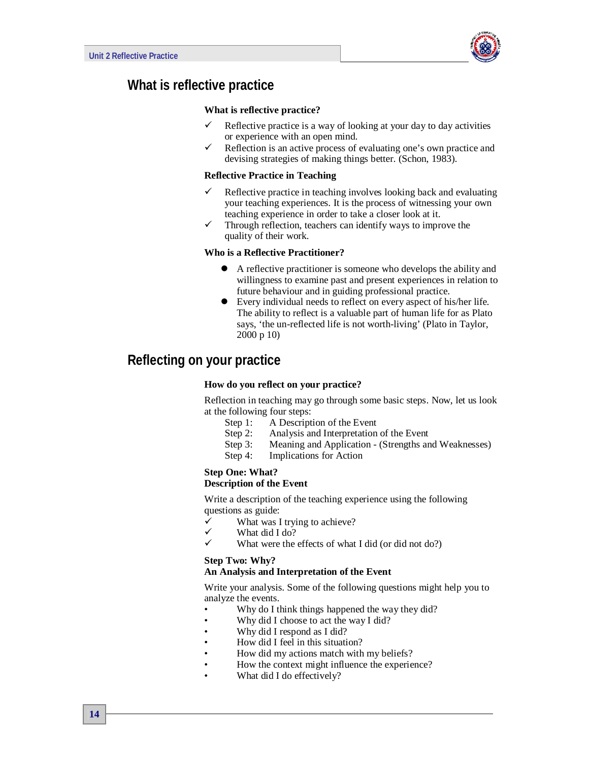

### **What is reflective practice**

#### **What is reflective practice?**

- Reflective practice is a way of looking at your day to day activities or experience with an open mind.
- Reflection is an active process of evaluating one's own practice and devising strategies of making things better. (Schon, 1983).

#### **Reflective Practice in Teaching**

- $\checkmark$  Reflective practice in teaching involves looking back and evaluating your teaching experiences. It is the process of witnessing your own teaching experience in order to take a closer look at it.
- $\checkmark$  Through reflection, teachers can identify ways to improve the quality of their work.

#### **Who is a Reflective Practitioner?**

- A reflective practitioner is someone who develops the ability and willingness to examine past and present experiences in relation to future behaviour and in guiding professional practice.
- Every individual needs to reflect on every aspect of his/her life. The ability to reflect is a valuable part of human life for as Plato says, 'the un-reflected life is not worth-living' (Plato in Taylor, 2000 p 10)

### **Reflecting on your practice**

#### **How do you reflect on your practice?**

Reflection in teaching may go through some basic steps. Now, let us look at the following four steps:

- Step 1: A Description of the Event
- Step 2: Analysis and Interpretation of the Event
- Step 3: Meaning and Application (Strengths and Weaknesses)
- Step 4: Implications for Action

#### **Step One: What? Description of the Event**

Write a description of the teaching experience using the following questions as guide:

- $\checkmark$  What was I trying to achieve?
- $\checkmark$  What did I do?
- What were the effects of what I did (or did not do?)

#### **Step Two: Why?**

#### **An Analysis and Interpretation of the Event**

Write your analysis. Some of the following questions might help you to analyze the events.

- Why do I think things happened the way they did?
- Why did I choose to act the way I did?
- Why did I respond as I did?
- How did I feel in this situation?
- How did my actions match with my beliefs?
- How the context might influence the experience?
- What did I do effectively?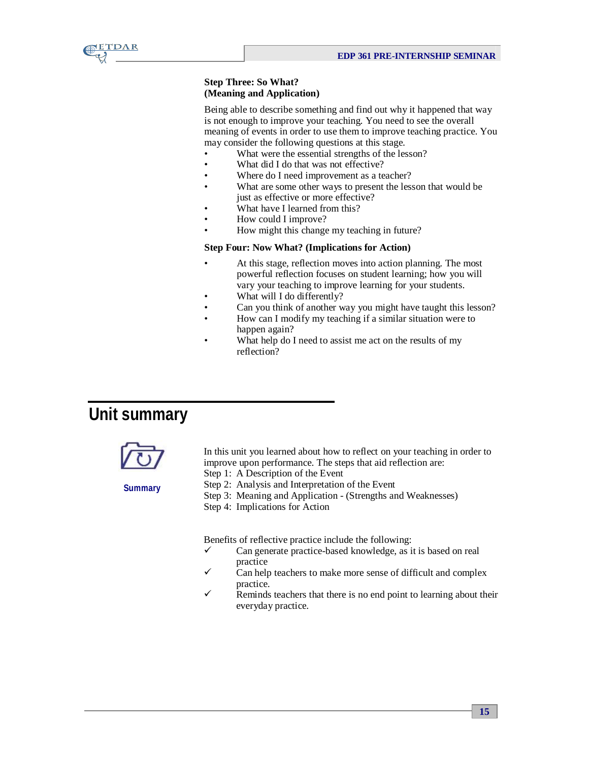

#### **Step Three: So What? (Meaning and Application)**

Being able to describe something and find out why it happened that way is not enough to improve your teaching. You need to see the overall meaning of events in order to use them to improve teaching practice. You may consider the following questions at this stage.

- What were the essential strengths of the lesson?
- What did I do that was not effective?
- Where do I need improvement as a teacher?
- What are some other ways to present the lesson that would be just as effective or more effective?
- What have I learned from this?
- How could I improve?
- How might this change my teaching in future?

#### **Step Four: Now What? (Implications for Action)**

- At this stage, reflection moves into action planning. The most powerful reflection focuses on student learning; how you will vary your teaching to improve learning for your students.
- What will I do differently?
- Can you think of another way you might have taught this lesson?
- How can I modify my teaching if a similar situation were to happen again?
- What help do I need to assist me act on the results of my reflection?

## **Unit summary**



In this unit you learned about how to reflect on your teaching in order to improve upon performance. The steps that aid reflection are:

**Summary**

Step 1: A Description of the Event Step 2: Analysis and Interpretation of the Event Step 3: Meaning and Application - (Strengths and Weaknesses) Step 4: Implications for Action

Benefits of reflective practice include the following:

- $\checkmark$  Can generate practice-based knowledge, as it is based on real practice
- Can help teachers to make more sense of difficult and complex practice.
- Reminds teachers that there is no end point to learning about their everyday practice.

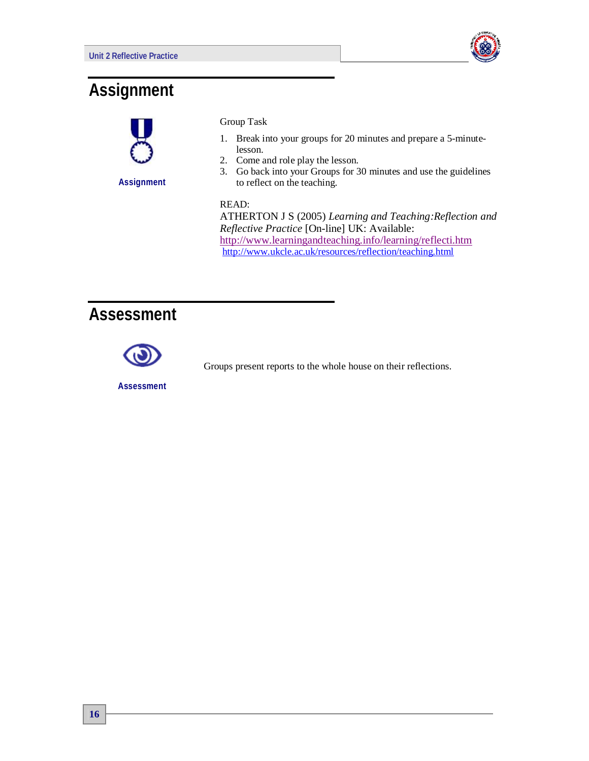

## **Assignment**



**Assignment**

#### Group Task

- 1. Break into your groups for 20 minutes and prepare a 5-minutelesson.
- 2. Come and role play the lesson.
- 3. Go back into your Groups for 30 minutes and use the guidelines to reflect on the teaching.

#### READ:

ATHERTON J S (2005) *Learning and Teaching:Reflection and Reflective Practice* [On-line] UK: Available: http://www.learningandteaching.info/learning/reflecti.htm http://www.ukcle.ac.uk/resources/reflection/teaching.html

# **Assessment**



Groups present reports to the whole house on their reflections.

**Assessment**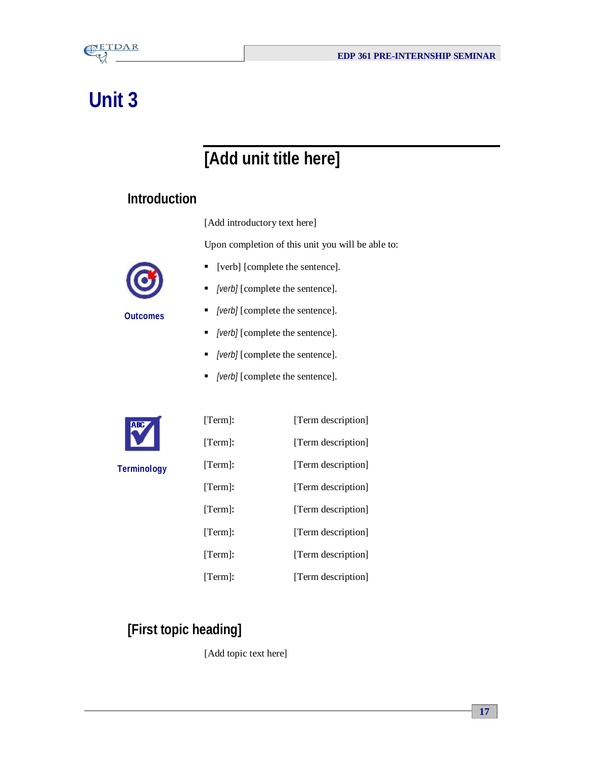

# **Unit 3**

# **[Add unit title here]**

### **Introduction**

[Add introductory text here]

Upon completion of this unit you will be able to:



**Outcomes**

- [verb] [complete the sentence].
- *[verb]* [complete the sentence].
- *[verb]* [complete the sentence].
- *[verb]* [complete the sentence].
- *[verb]* [complete the sentence].
- *[verb]* [complete the sentence].



**Terminology**

| [Term]:    | [Term description] |
|------------|--------------------|
| [Term]:    | [Term description] |
| [Term]:    | [Term description] |
| $[Term]$ : | [Term description] |
| [Term]:    | [Term description] |
| [Term]:    | [Term description] |
| [Term]:    | [Term description] |
|            |                    |

[Term]: [Term description]

## **[First topic heading]**

[Add topic text here]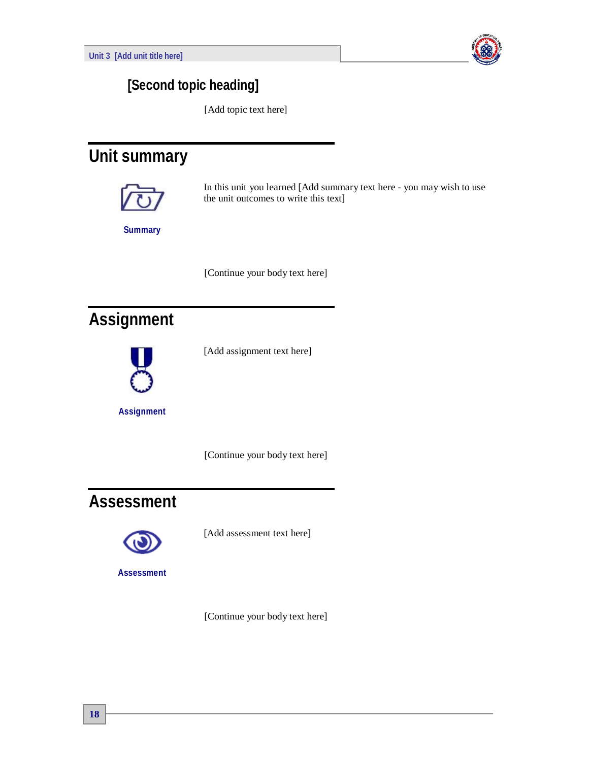

## **[Second topic heading]**

[Add topic text here]

# **Unit summary**



In this unit you learned [Add summary text here - you may wish to use the unit outcomes to write this text]

**Summary**

[Continue your body text here]

# **Assignment**



[Add assignment text here]

**Assignment**

[Continue your body text here]

# **Assessment**



[Add assessment text here]

**Assessment**

[Continue your body text here]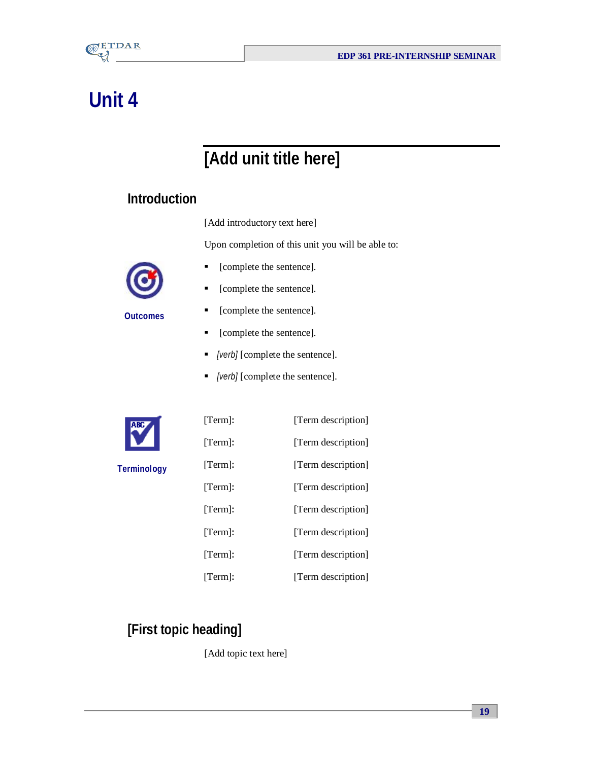

# **[Add unit title here]**

## **Introduction**

[Add introductory text here]

Upon completion of this unit you will be able to:



**Outcomes**

- **•** [complete the sentence].
- **•** [complete the sentence].
- [complete the sentence].
- **•** [complete the sentence].
- *[verb]* [complete the sentence].
- *[verb]* [complete the sentence].



**Terminology**

| [Term]:    | [Term description] |
|------------|--------------------|
| [Term]:    | [Term description] |
| $[Term]$ : | [Term description] |
| [Term]:    | [Term description] |
| [Term]:    | [Term description] |
| $[Term]$ : | [Term description] |
| [Term]:    | [Term description] |
|            |                    |

[Term]: [Term description]

## **[First topic heading]**

[Add topic text here]